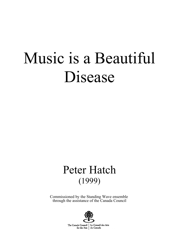# Music is a Beautiful Disease

# Peter Hatch (1999)

Commissioned by the Standing Wave ensemble through the assistance of the Canada Council



Le Conseil des Arts The Canada Council for the Arts du Canada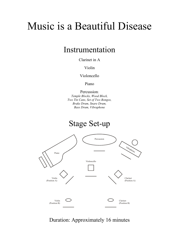# Music is a Beautiful Disease

### Instrumentation

#### Clarinet in A

Violin

Violoncello

Piano

Percussion: *Temple Blocks, Wood Block, Two Tin Cans, Set of Two Bongos, Brake Drum, Snare Drum, Bass Drum, Vibraphone*

### Stage Set-up



Duration: Approximately 16 minutes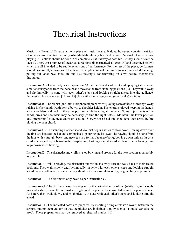## Theatrical Instructions

Music is a Beautiful Disease is not a piece of music theatre. It does, however, contain theatrical elements whose intention is simply to highlight the already theatrical nature of 'normal' chamber music playing. All actions should be done in as completely natural way as possible - ie they should never be 'acted'. There are a number of theatrical directions given (marked as *'Instr. X'* and described below) which are all intended to be subtle extensions of performance. For the rest of the piece, performers should be carefully conscious of the theatrical implications of their movements (this includes cueing, pulling out loose bow hairs, etc and just 'resting'), concentrating on slow, natural movements throughout.

**Instruction A** - The already seated (position A) clarinetist and violinist (while playing) slowly and simultaneously arise from their chairs and move to the front standing positions (B). They walk slowly and rhythmically, in sync with each other's steps and looking straight ahead into the audience. Percussion: from rehearsal [12] to [15] play with slow, exaggerated (tai-chi-like) motions.

**Instruction B** - The pianist (and later vibraphonist) prepares for playing each of these chords by slowly raising his/her hands (with bent elbows) to shoulder height. The chord is played keeping the hands, arms, shoulders and neck in the same position while bending at the waist. Some adjustments of the hands, arms and shoulders may be necessary (to find the right notes). Maintain this lower position until preparing for the next chord or section. Slowly raise head and shoulders, then arms, before playing the next chord.

**Instruction C** - The standing clarinetist and violinist begin a series of slow bows, bowing down over the first two beats of the bar and coming back up during the last two. The bowing should be done from the hips with a straight back and neck (as in a formal Japanese bow), bowing down only as far as is comfortable (and equal between the two players), looking straight ahead while up, then allowing gaze to go down when bowing.

**Instruction D** - The clarinetist and violinist stop bowing and prepare for the next section as smoothly as possible.

**Instruction E** - While playing, the clarinetist and violinist slowly turn and walk back to their seated positions. They walk slowly and rhythmically, in sync with each other's steps and looking straight ahead. When both near their chairs they should sit down simultaneously, as gracefully as possible.

**Instruction F** - The clarinetist only bows as per Instruction C.

**Instruction G** - The clarinetist stops bowing and both clarinetist and violinist (while playing) slowly turn and walk off stage, the violinist leaving behind the pianist, the clarinetist behind the percussionist. As before they walk slowly and rhythmically, in sync with each other's steps and looking straight ahead.

**Instruction H** - The indicated notes are 'prepared' by inserting a single felt strip woven between the strings, muting them enough so that the pitches are indistinct (a putty such as 'Funtak' can also be used). These preparations may be removed at rehearsal number [11].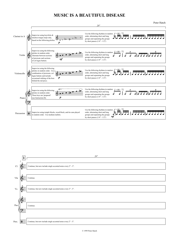#### **MUSIC IS A BEAUTIFUL DISEASE**

Peter Hatch



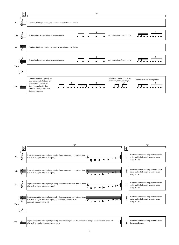

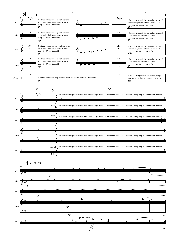

₩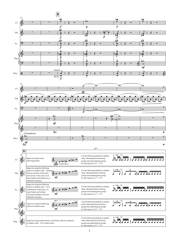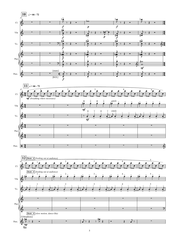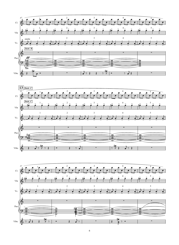



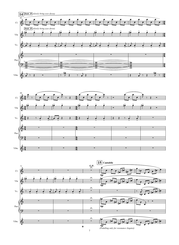



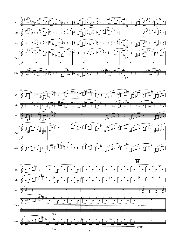



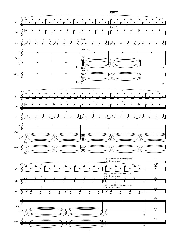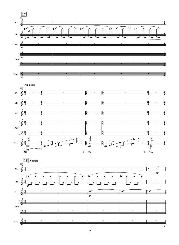

₩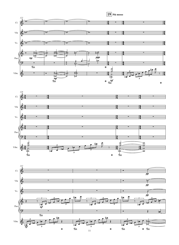



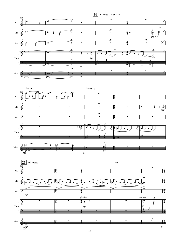



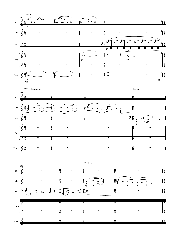

 $\sqrt{=} 66 - 72$ 

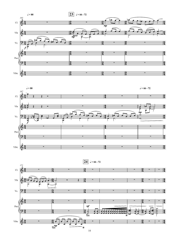



 $\boxed{24}$   $J = 66 - 72$ 

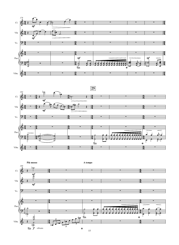



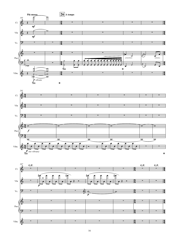



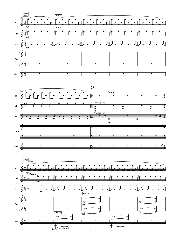